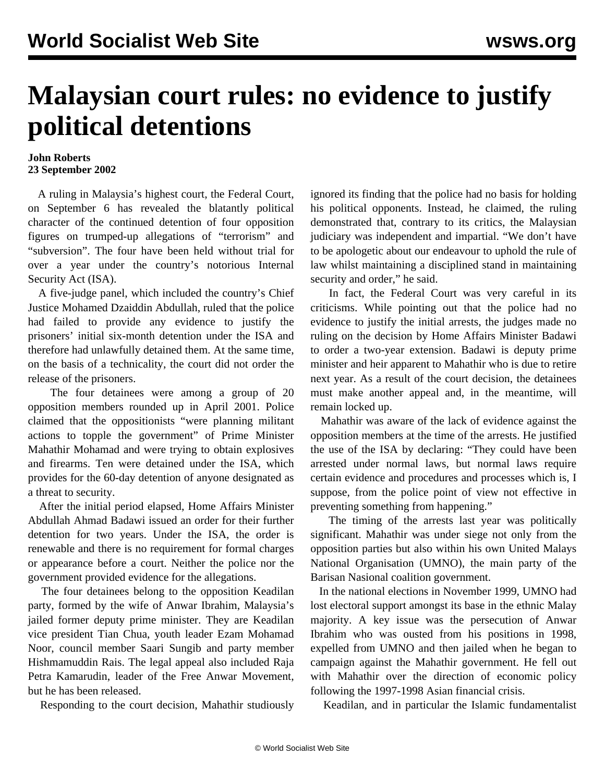## **Malaysian court rules: no evidence to justify political detentions**

## **John Roberts 23 September 2002**

 A ruling in Malaysia's highest court, the Federal Court, on September 6 has revealed the blatantly political character of the continued detention of four opposition figures on trumped-up allegations of "terrorism" and "subversion". The four have been held without trial for over a year under the country's notorious Internal Security Act (ISA).

 A five-judge panel, which included the country's Chief Justice Mohamed Dzaiddin Abdullah, ruled that the police had failed to provide any evidence to justify the prisoners' initial six-month detention under the ISA and therefore had unlawfully detained them. At the same time, on the basis of a technicality, the court did not order the release of the prisoners.

 The four detainees were among a group of 20 opposition members rounded up in April 2001. Police claimed that the oppositionists "were planning militant actions to topple the government" of Prime Minister Mahathir Mohamad and were trying to obtain explosives and firearms. Ten were detained under the ISA, which provides for the 60-day detention of anyone designated as a threat to security.

 After the initial period elapsed, Home Affairs Minister Abdullah Ahmad Badawi issued an order for their further detention for two years. Under the ISA, the order is renewable and there is no requirement for formal charges or appearance before a court. Neither the police nor the government provided evidence for the allegations.

 The four detainees belong to the opposition Keadilan party, formed by the wife of Anwar Ibrahim, Malaysia's jailed former deputy prime minister. They are Keadilan vice president Tian Chua, youth leader Ezam Mohamad Noor, council member Saari Sungib and party member Hishmamuddin Rais. The legal appeal also included Raja Petra Kamarudin, leader of the Free Anwar Movement, but he has been released.

Responding to the court decision, Mahathir studiously

ignored its finding that the police had no basis for holding his political opponents. Instead, he claimed, the ruling demonstrated that, contrary to its critics, the Malaysian judiciary was independent and impartial. "We don't have to be apologetic about our endeavour to uphold the rule of law whilst maintaining a disciplined stand in maintaining security and order," he said.

 In fact, the Federal Court was very careful in its criticisms. While pointing out that the police had no evidence to justify the initial arrests, the judges made no ruling on the decision by Home Affairs Minister Badawi to order a two-year extension. Badawi is deputy prime minister and heir apparent to Mahathir who is due to retire next year. As a result of the court decision, the detainees must make another appeal and, in the meantime, will remain locked up.

 Mahathir was aware of the lack of evidence against the opposition members at the time of the arrests. He justified the use of the ISA by declaring: "They could have been arrested under normal laws, but normal laws require certain evidence and procedures and processes which is, I suppose, from the police point of view not effective in preventing something from happening."

 The timing of the arrests last year was politically significant. Mahathir was under siege not only from the opposition parties but also within his own United Malays National Organisation (UMNO), the main party of the Barisan Nasional coalition government.

 In the national elections in November 1999, UMNO had lost electoral support amongst its base in the ethnic Malay majority. A key issue was the persecution of Anwar Ibrahim who was ousted from his positions in 1998, expelled from UMNO and then jailed when he began to campaign against the Mahathir government. He fell out with Mahathir over the direction of economic policy following the 1997-1998 Asian financial crisis.

Keadilan, and in particular the Islamic fundamentalist